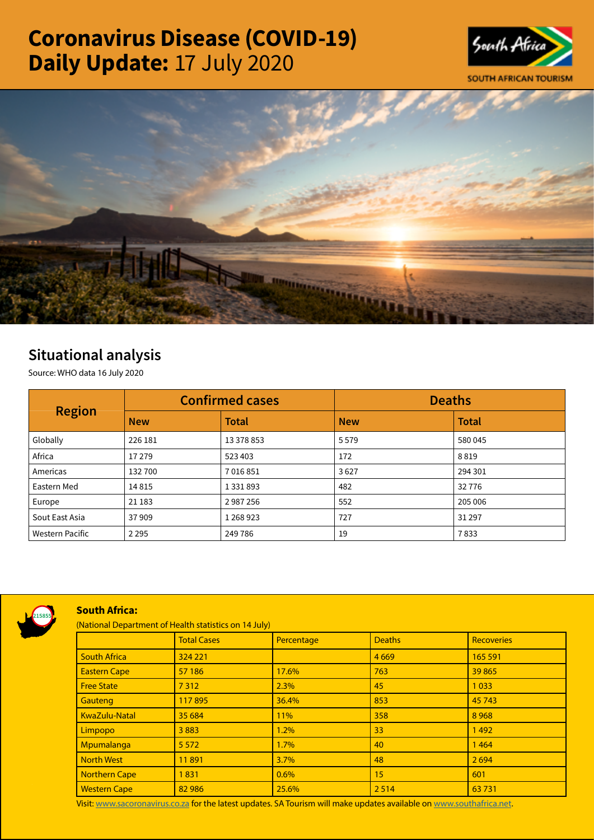# Coronavirus Disease (COVID-19) Daily Update: 17 July 2020





# Situational analysis

Source: WHO data 16 July 2020

|                        | <b>Confirmed cases</b> |               | <b>Deaths</b> |              |
|------------------------|------------------------|---------------|---------------|--------------|
| <b>Region</b>          | <b>New</b>             | <b>Total</b>  | <b>New</b>    | <b>Total</b> |
| Globally               | 226 181                | 13 378 853    | 5579          | 580 045      |
| Africa                 | 17 279                 | 523 403       | 172           | 8819         |
| Americas               | 132700                 | 7016851       | 3627          | 294 301      |
| Eastern Med            | 14815                  | 1 3 3 1 8 9 3 | 482           | 32776        |
| Europe                 | 21 183                 | 2987256       | 552           | 205 006      |
| Sout East Asia         | 37909                  | 1 268 923     | 727           | 31 297       |
| <b>Western Pacific</b> | 2 2 9 5                | 249 786       | 19            | 7833         |



## South Africa:

(National Department of Health statistics on 14 July)

|  |                      | <b>Total Cases</b> | Percentage | <b>Deaths</b> | <b>Recoveries</b> |  |  |
|--|----------------------|--------------------|------------|---------------|-------------------|--|--|
|  | <b>South Africa</b>  | 324 221            |            | 4669          | 165 591           |  |  |
|  | <b>Eastern Cape</b>  | 57 186             | 17.6%      | 763           | 39 865            |  |  |
|  | <b>Free State</b>    | 7312               | 2.3%       | 45            | 1033              |  |  |
|  | Gauteng              | 117895             | 36.4%      | 853           | 45 743            |  |  |
|  | KwaZulu-Natal        | 35 684             | 11%        | 358           | 8968              |  |  |
|  | Limpopo              | 3883               | 1.2%       | 33            | 1492              |  |  |
|  | Mpumalanga           | 5 5 7 2            | 1.7%       | 40            | 1464              |  |  |
|  | <b>North West</b>    | 11891              | 3.7%       | 48            | 2694              |  |  |
|  | <b>Northern Cape</b> | 1831               | 0.6%       | 15            | 601               |  |  |
|  | <b>Western Cape</b>  | 82 986             | 25.6%      | 2 5 1 4       | 63731             |  |  |

Visit: [www.sacoronavirus.co.za](http://www.sacoronavirus.co.za) for the latest updates. SA Tourism will make updates available on [www.southafrica.net.](http://www.southafrica.net)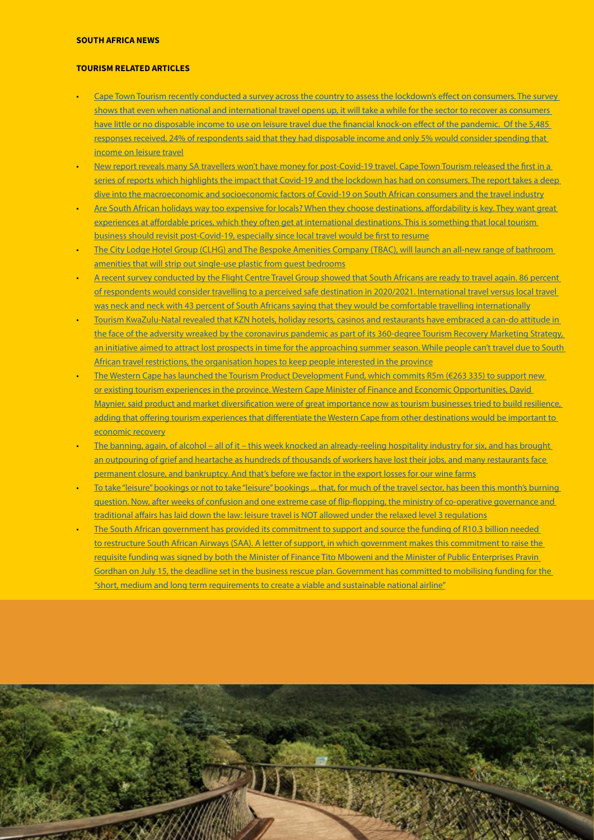## SOUTH AFRICA NEWS

#### TOURISM RELATED ARTICLES

- [Cape Town Tourism recently conducted a survey across the country to assess the lockdown's effect on consumers. The survey](https://www.businesslive.co.za/bd/economy/2020-07-16-pricing-will-be-key-in-driving-tourism-recovery/)  [shows that even when national and international travel opens up, it will take a while for the sector to recover as consumers](https://www.businesslive.co.za/bd/economy/2020-07-16-pricing-will-be-key-in-driving-tourism-recovery/)  [have little or no disposable income to use on leisure travel due the financial knock-on effect of the pandemic. Of the 5,485](https://www.businesslive.co.za/bd/economy/2020-07-16-pricing-will-be-key-in-driving-tourism-recovery/)  [responses received, 24% of respondents said that they had disposable income and only 5% would consider spending that](https://www.businesslive.co.za/bd/economy/2020-07-16-pricing-will-be-key-in-driving-tourism-recovery/)  [income on leisure travel](https://www.businesslive.co.za/bd/economy/2020-07-16-pricing-will-be-key-in-driving-tourism-recovery/)
- [New report reveals many SA travellers won't have money for post-Covid-19 travel. Cape Town Tourism released the first in a](https://www.iol.co.za/travel/travel-news/new-report-reveals-many-sa-travellers-wont-have-money-for-post-covid-19-travel-51065330)  [series of reports which highlights the impact that Covid-19 and the lockdown has had on consumers. The report takes a deep](https://www.iol.co.za/travel/travel-news/new-report-reveals-many-sa-travellers-wont-have-money-for-post-covid-19-travel-51065330)  [dive into the macroeconomic and socioeconomic factors of Covid-19 on South African consumers and the travel industry](https://www.iol.co.za/travel/travel-news/new-report-reveals-many-sa-travellers-wont-have-money-for-post-covid-19-travel-51065330)
- Are South African holidays way too expensive for locals? When they choose destinations, affordability is key. They want great [experiences at affordable prices, which they often get at international destinations. This is something that local tourism](https://www.iol.co.za/travel/south-africa/are-south-african-holidays-way-too-expensive-for-locals-51063902)  [business should revisit post-Covid-19, especially since local travel would be first to resume](https://www.iol.co.za/travel/south-africa/are-south-african-holidays-way-too-expensive-for-locals-51063902)
- [The City Lodge Hotel Group \(CLHG\) and The Bespoke Amenities Company \(TBAC\), will launch an all-new range of bathroom](https://www.iol.co.za/travel/travel-news/hotel-group-to-strip-out-single-use-plastic-from-guest-rooms-with-new-bathroom-range-51066743)  [amenities that will strip out single-use plastic from guest bedrooms](https://www.iol.co.za/travel/travel-news/hotel-group-to-strip-out-single-use-plastic-from-guest-rooms-with-new-bathroom-range-51066743)
- [A recent survey conducted by the Flight Centre Travel Group showed that South Africans are ready to travel again. 86 percent](https://www.iol.co.za/travel/travel-news/survey-reveals-south-africans-are-itching-to-travel-51112861)  [of respondents would consider travelling to a perceived safe destination in 2020/2021. International travel versus local travel](https://www.iol.co.za/travel/travel-news/survey-reveals-south-africans-are-itching-to-travel-51112861)  [was neck and neck with 43 percent of South Africans saying that they would be comfortable travelling internationally](https://www.iol.co.za/travel/travel-news/survey-reveals-south-africans-are-itching-to-travel-51112861)
- [Tourism KwaZulu-Natal revealed that KZN hotels, holiday resorts, casinos and restaurants have embraced a can-do attitude in](https://www.iol.co.za/travel/south-africa/kwazulu-natal/revamped-hotels-and-virtual-campaigns-heres-how-kzn-hopes-to-woo-tourists-post-covid-19-51057505)  [the face of the adversity wreaked by the coronavirus pandemic as part of its 360-degree Tourism Recovery Marketing Strategy,](https://www.iol.co.za/travel/south-africa/kwazulu-natal/revamped-hotels-and-virtual-campaigns-heres-how-kzn-hopes-to-woo-tourists-post-covid-19-51057505)  [an initiative aimed to attract lost prospects in time for the approaching summer season. While people can't travel due to South](https://www.iol.co.za/travel/south-africa/kwazulu-natal/revamped-hotels-and-virtual-campaigns-heres-how-kzn-hopes-to-woo-tourists-post-covid-19-51057505)  [African travel restrictions, the organisation hopes to keep people interested in the province](https://www.iol.co.za/travel/south-africa/kwazulu-natal/revamped-hotels-and-virtual-campaigns-heres-how-kzn-hopes-to-woo-tourists-post-covid-19-51057505)
- The Western Cape has launched the Tourism Product Development Fund, which commits R5m (€263 335) to support new [or existing tourism experiences in the province. Western Cape Minister of Finance and Economic Opportunities, David](https://www.tourismupdate.co.za/article/western-cape-launches-tourism-development-fund)  [Maynier, said product and market diversification were of great importance now as tourism businesses tried to build resilience,](https://www.tourismupdate.co.za/article/western-cape-launches-tourism-development-fund)  adding that offering tourism experiences that differentiate the Western Cape from other destinations would be important to [economic recovery](https://www.tourismupdate.co.za/article/western-cape-launches-tourism-development-fund)
- The banning, again, of alcohol all of it this week knocked an already-reeling hospitality industry for six, and has brought an outpouring of grief and heartache as hundreds of thousands of workers have lost their jobs, and many restaurants face [permanent closure, and bankruptcy. And that's before we factor in the export losses for our wine farms](https://www.dailymaverick.co.za/article/2020-07-17-battered-bruised-dry-and-ready-to-fight/#gsc.tab=0)
- [To take "leisure" bookings or not to take "leisure" bookings ... that, for much of the travel sector, has been this month's burning](https://www.timeslive.co.za/sunday-times/lifestyle/travel/2020-07-17-lockdown-travel-rules-can-i-go-on-holiday-if-i-dont-leave-my-province/)  [question. Now, after weeks of confusion and one extreme case of flip-flopping, the ministry of co-operative governance and](https://www.timeslive.co.za/sunday-times/lifestyle/travel/2020-07-17-lockdown-travel-rules-can-i-go-on-holiday-if-i-dont-leave-my-province/)  [traditional affairs has laid down the law: leisure travel is NOT allowed under the relaxed level 3 regulations](https://www.timeslive.co.za/sunday-times/lifestyle/travel/2020-07-17-lockdown-travel-rules-can-i-go-on-holiday-if-i-dont-leave-my-province/)
- [The South African government has provided its commitment to support and source the funding of R10.3 billion needed](https://www.moneyweb.co.za/news/south-africa/government-commits-to-funding-a-restructured-saa/)  [to restructure South African Airways \(SAA\). A letter of support, in which government makes this commitment to raise the](https://www.moneyweb.co.za/news/south-africa/government-commits-to-funding-a-restructured-saa/)  [requisite funding was signed by both the Minister of Finance Tito Mboweni and the Minister of Public Enterprises Pravin](https://www.moneyweb.co.za/news/south-africa/government-commits-to-funding-a-restructured-saa/)  [Gordhan on July 15, the deadline set in the business rescue plan. Government has committed to mobilising funding for the](https://www.moneyweb.co.za/news/south-africa/government-commits-to-funding-a-restructured-saa/)  ["short, medium and long term requirements to create a viable and sustainable national airline"](https://www.moneyweb.co.za/news/south-africa/government-commits-to-funding-a-restructured-saa/)